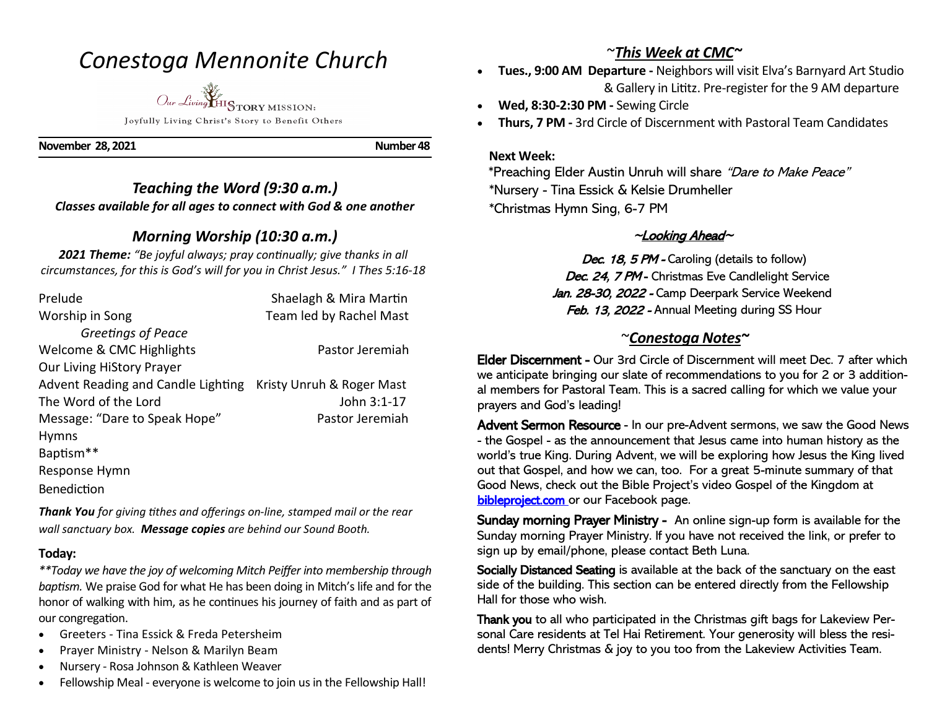## *Conestoga Mennonite Church*

*Our Living* HISTORY MISSION: Joyfully Living Christ's Story to Benefit Others

**November 28, 2021 Number 48** 

#### *Teaching the Word (9:30 a.m.) Classes available for all ages to connect with God & one another*

### *Morning Worship (10:30 a.m.)*

*2021 Theme: "Be joyful always; pray continually; give thanks in all circumstances, for this is God's will for you in Christ Jesus." I Thes 5:16-18*

| Prelude                                                      | Shaelagh & Mira Martin  |
|--------------------------------------------------------------|-------------------------|
| Worship in Song                                              | Team led by Rachel Mast |
| Greetings of Peace                                           |                         |
| Welcome & CMC Highlights                                     | Pastor Jeremiah         |
| Our Living HiStory Prayer                                    |                         |
| Advent Reading and Candle Lighting Kristy Unruh & Roger Mast |                         |
| The Word of the Lord                                         | John 3:1-17             |
| Message: "Dare to Speak Hope"                                | Pastor Jeremiah         |
| <b>Hymns</b>                                                 |                         |
| Baptism**                                                    |                         |
| Response Hymn                                                |                         |
| <b>Benediction</b>                                           |                         |

*Thank You for giving tithes and offerings on-line, stamped mail or the rear wall sanctuary box. Message copies are behind our Sound Booth.*

#### **Today:**

*\*\*Today we have the joy of welcoming Mitch Peiffer into membership through baptism.* We praise God for what He has been doing in Mitch's life and for the honor of walking with him, as he continues his journey of faith and as part of our congregation.

- Greeters Tina Essick & Freda Petersheim
- Prayer Ministry Nelson & Marilyn Beam
- Nursery Rosa Johnson & Kathleen Weaver
- Fellowship Meal everyone is welcome to join us in the Fellowship Hall!

## ~*This Week at CMC~*

- **Tues., 9:00 AM Departure -** Neighbors will visit Elva's Barnyard Art Studio & Gallery in Lititz. Pre-register for the 9 AM departure
- **Wed, 8:30-2:30 PM -** Sewing Circle
- **Thurs, 7 PM -** 3rd Circle of Discernment with Pastoral Team Candidates

#### **Next Week:**

 \*Preaching Elder Austin Unruh will share "Dare to Make Peace" \*Nursery - Tina Essick & Kelsie Drumheller \*Christmas Hymn Sing, 6-7 PM

## $\sim$ Looking Ahead $\sim$

Dec. 18, 5 PM - Caroling (details to follow) Dec. 24, 7 PM - Christmas Eve Candlelight Service Jan. 28-30, 2022 - Camp Deerpark Service Weekend Feb. 13, 2022 - Annual Meeting during SS Hour

## ~*Conestoga Notes~*

Elder Discernment - Our 3rd Circle of Discernment will meet Dec. 7 after which we anticipate bringing our slate of recommendations to you for 2 or 3 additional members for Pastoral Team. This is a sacred calling for which we value your prayers and God's leading!

Advent Sermon Resource - In our pre-Advent sermons, we saw the Good News - the Gospel - as the announcement that Jesus came into human history as the world's true King. During Advent, we will be exploring how Jesus the King lived out that Gospel, and how we can, too. For a great 5-minute summary of that Good News, check out the Bible Project's video Gospel of the Kingdom at bibleproject.com or our Facebook page.

Sunday morning Prayer Ministry - An online sign-up form is available for the Sunday morning Prayer Ministry. If you have not received the link, or prefer to sign up by email/phone, please contact Beth Luna.

Socially Distanced Seating is available at the back of the sanctuary on the east side of the building. This section can be entered directly from the Fellowship Hall for those who wish.

Thank you to all who participated in the Christmas gift bags for Lakeview Personal Care residents at Tel Hai Retirement. Your generosity will bless the residents! Merry Christmas & joy to you too from the Lakeview Activities Team.